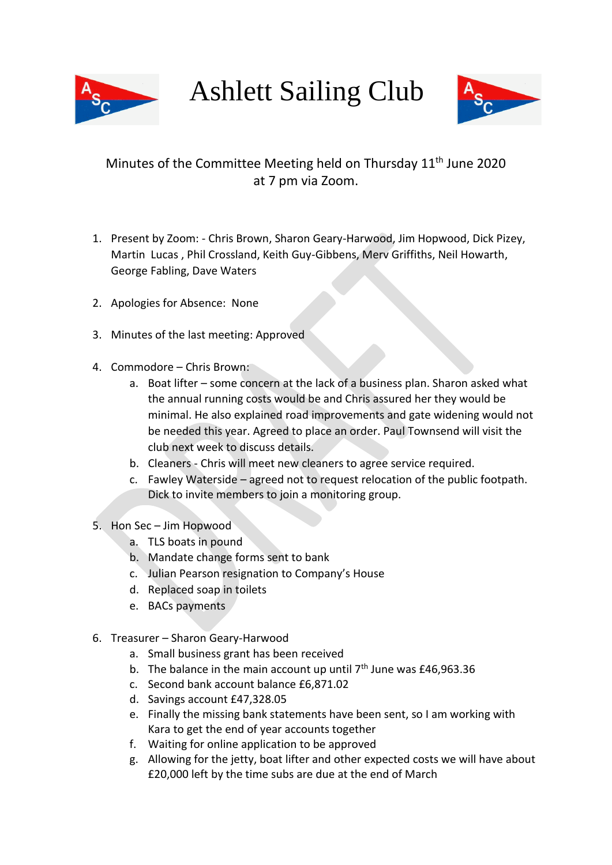

Ashlett Sailing Club



## Minutes of the Committee Meeting held on Thursday 11<sup>th</sup> June 2020 at 7 pm via Zoom.

- 1. Present by Zoom: Chris Brown, Sharon Geary-Harwood, Jim Hopwood, Dick Pizey, Martin Lucas , Phil Crossland, Keith Guy-Gibbens, Merv Griffiths, Neil Howarth, George Fabling, Dave Waters
- 2. Apologies for Absence: None
- 3. Minutes of the last meeting: Approved
- 4. Commodore Chris Brown:
	- a. Boat lifter some concern at the lack of a business plan. Sharon asked what the annual running costs would be and Chris assured her they would be minimal. He also explained road improvements and gate widening would not be needed this year. Agreed to place an order. Paul Townsend will visit the club next week to discuss details.
	- b. Cleaners Chris will meet new cleaners to agree service required.
	- c. Fawley Waterside agreed not to request relocation of the public footpath. Dick to invite members to join a monitoring group.
- 5. Hon Sec Jim Hopwood
	- a. TLS boats in pound
	- b. Mandate change forms sent to bank
	- c. Julian Pearson resignation to Company's House
	- d. Replaced soap in toilets
	- e. BACs payments
- 6. Treasurer Sharon Geary-Harwood
	- a. Small business grant has been received
	- b. The balance in the main account up until  $7<sup>th</sup>$  June was £46,963.36
	- c. Second bank account balance £6,871.02
	- d. Savings account £47,328.05
	- e. Finally the missing bank statements have been sent, so I am working with Kara to get the end of year accounts together
	- f. Waiting for online application to be approved
	- g. Allowing for the jetty, boat lifter and other expected costs we will have about £20,000 left by the time subs are due at the end of March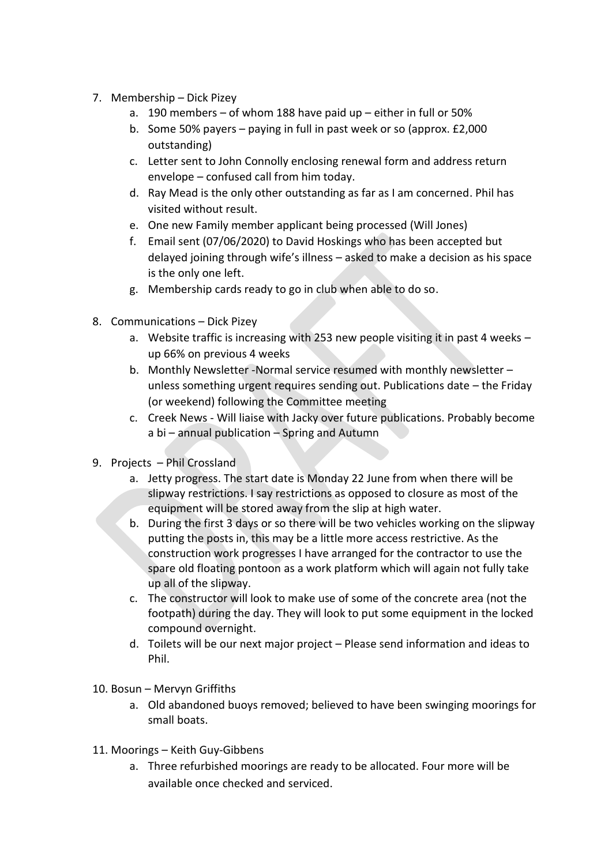- 7. Membership Dick Pizey
	- a. 190 members of whom 188 have paid up either in full or 50%
	- b. Some 50% payers paying in full in past week or so (approx. £2,000 outstanding)
	- c. Letter sent to John Connolly enclosing renewal form and address return envelope – confused call from him today.
	- d. Ray Mead is the only other outstanding as far as I am concerned. Phil has visited without result.
	- e. One new Family member applicant being processed (Will Jones)
	- f. Email sent (07/06/2020) to David Hoskings who has been accepted but delayed joining through wife's illness – asked to make a decision as his space is the only one left.
	- g. Membership cards ready to go in club when able to do so.
- 8. Communications Dick Pizey
	- a. Website traffic is increasing with 253 new people visiting it in past 4 weeks up 66% on previous 4 weeks
	- b. Monthly Newsletter -Normal service resumed with monthly newsletter unless something urgent requires sending out. Publications date – the Friday (or weekend) following the Committee meeting
	- c. Creek News Will liaise with Jacky over future publications. Probably become a bi – annual publication – Spring and Autumn
- 9. Projects Phil Crossland
	- a. Jetty progress. The start date is Monday 22 June from when there will be slipway restrictions. I say restrictions as opposed to closure as most of the equipment will be stored away from the slip at high water.
	- b. During the first 3 days or so there will be two vehicles working on the slipway putting the posts in, this may be a little more access restrictive. As the construction work progresses I have arranged for the contractor to use the spare old floating pontoon as a work platform which will again not fully take up all of the slipway.
	- c. The constructor will look to make use of some of the concrete area (not the footpath) during the day. They will look to put some equipment in the locked compound overnight.
	- d. Toilets will be our next major project Please send information and ideas to Phil.
- 10. Bosun Mervyn Griffiths
	- a. Old abandoned buoys removed; believed to have been swinging moorings for small boats.
- 11. Moorings Keith Guy-Gibbens
	- a. Three refurbished moorings are ready to be allocated. Four more will be available once checked and serviced.